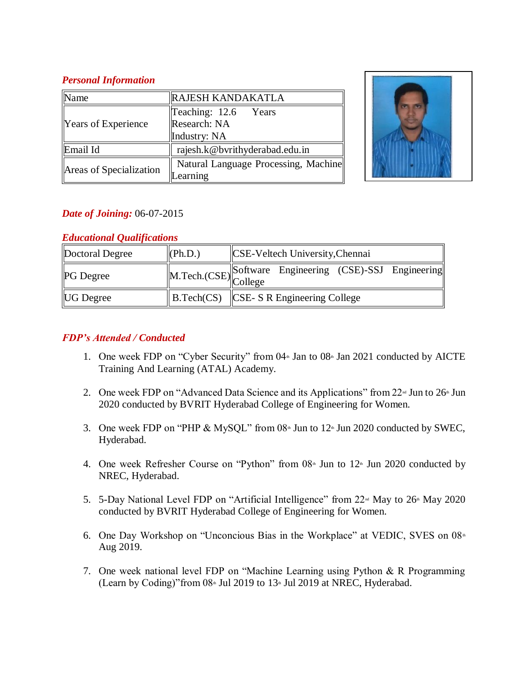#### *Personal Information*

| <b>Name</b>             | <b>RAJESH KANDAKATLA</b>             |  |  |
|-------------------------|--------------------------------------|--|--|
| Years of Experience     | Teaching: 12.6 Years                 |  |  |
|                         | Research: NA                         |  |  |
|                         | Industry: NA                         |  |  |
| Email Id                | rajesh.k@bvrithyderabad.edu.in       |  |  |
| Areas of Specialization | Natural Language Processing, Machine |  |  |
|                         | earning                              |  |  |



# *Date of Joining:* 06-07-2015

# *Educational Qualifications*

| Doctoral Degree  | (Ph.D.) | <b>CSE-Veltech University, Chennai</b>                        |
|------------------|---------|---------------------------------------------------------------|
| <b>PG</b> Degree |         | M.Tech.(CSE) Software Engineering (CSE)-SSJ Engineering       |
| <b>UG</b> Degree |         | $\parallel$ B.Tech(CS) $\parallel$ CSE-SR Engineering College |

# *FDP's Attended / Conducted*

- 1. One week FDP on "Cyber Security" from  $04$ <sup>th</sup> Jan to  $08$ <sup>th</sup> Jan 2021 conducted by AICTE Training And Learning (ATAL) Academy.
- 2. One week FDP on "Advanced Data Science and its Applications" from  $22^{\omega}$  Jun to  $26^{\omega}$  Jun 2020 conducted by BVRIT Hyderabad College of Engineering for Women.
- 3. One week FDP on "PHP & MySQL" from  $08<sup>th</sup>$  Jun to  $12<sup>th</sup>$  Jun 2020 conducted by SWEC, Hyderabad.
- 4. One week Refresher Course on "Python" from  $08^{\text{th}}$  Jun to  $12^{\text{th}}$  Jun 2020 conducted by NREC, Hyderabad.
- 5. 5-Day National Level FDP on "Artificial Intelligence" from  $22<sup>nd</sup>$  May to  $26<sup>nd</sup>$  May 2020 conducted by BVRIT Hyderabad College of Engineering for Women.
- 6. One Day Workshop on "Unconcious Bias in the Workplace" at VEDIC, SVES on 08<sup>th</sup> Aug 2019.
- 7. One week national level FDP on "Machine Learning using Python & R Programming (Learn by Coding)" from  $08*$  Jul 2019 to 13<sup>th</sup> Jul 2019 at NREC, Hyderabad.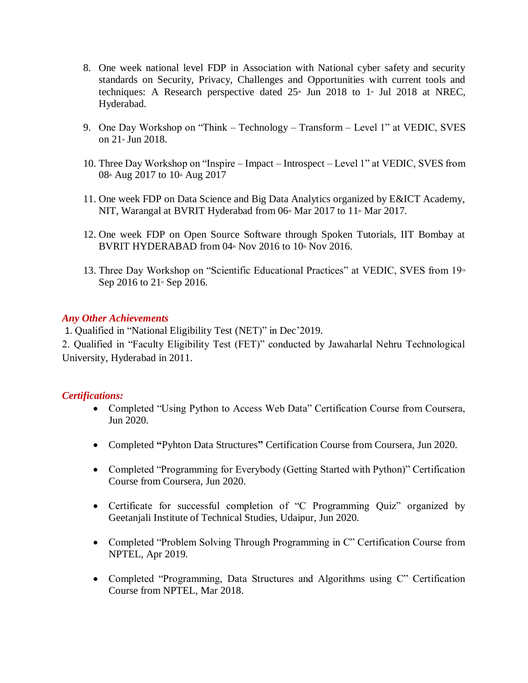- 8. One week national level FDP in Association with National cyber safety and security standards on Security, Privacy, Challenges and Opportunities with current tools and techniques: A Research perspective dated  $25<sup>th</sup>$  Jun 2018 to 1<sup>st</sup> Jul 2018 at NREC, Hyderabad.
- 9. One Day Workshop on "Think Technology Transform Level 1" at VEDIC, SVES on 21st Jun 2018.
- 10. Three Day Workshop on "Inspire Impact Introspect Level 1" at VEDIC, SVES from 08th Aug 2017 to 10th Aug 2017
- 11. One week FDP on Data Science and Big Data Analytics organized by E&ICT Academy, NIT, Warangal at BVRIT Hyderabad from  $06<sup>th</sup>$  Mar  $2017$  to  $11<sup>th</sup>$  Mar  $2017$ .
- 12. One week FDP on Open Source Software through Spoken Tutorials, IIT Bombay at BVRIT HYDERABAD from  $04^{\text{th}}$  Nov 2016 to 10<sup>th</sup> Nov 2016.
- 13. Three Day Workshop on "Scientific Educational Practices" at VEDIC, SVES from 19<sup>th</sup> Sep 2016 to 21<sup>st</sup> Sep 2016.

#### *Any Other Achievements*

1. Qualified in "National Eligibility Test (NET)" in Dec'2019.

2. Qualified in "Faculty Eligibility Test (FET)" conducted by Jawaharlal Nehru Technological University, Hyderabad in 2011.

#### *Certifications:*

- Completed "Using Python to Access Web Data" Certification Course from Coursera, Jun 2020.
- Completed **"**Pyhton Data Structures**"** Certification Course from Coursera, Jun 2020.
- Completed "Programming for Everybody (Getting Started with Python)" Certification Course from Coursera, Jun 2020.
- Certificate for successful completion of "C Programming Quiz" organized by Geetanjali Institute of Technical Studies, Udaipur, Jun 2020.
- Completed "Problem Solving Through Programming in C" Certification Course from NPTEL, Apr 2019.
- Completed "Programming, Data Structures and Algorithms using C" Certification Course from NPTEL, Mar 2018.